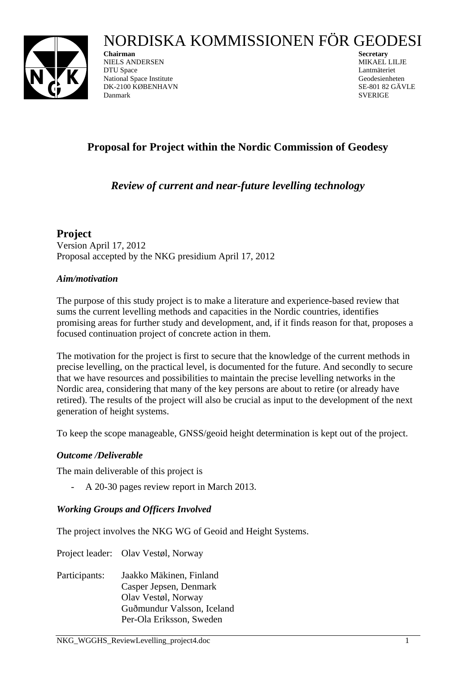# NORDISKA KOMMISSIONEN FÖR GEODESI



**Chairman** Secretary **Secretary Secretary** NIELS ANDERSEN MIKAEL LILJE DTU Space Lantmäteriet National Space Institute Geodesienheten DK-2100 KØBENHAVN SE-801 82 GÄVLE Danmark SVERIGE SUBSERIGE SUBSERIGE

# **Proposal for Project within the Nordic Commission of Geodesy**

# *Review of current and near-future levelling technology*

**Project**  Version April 17, 2012 Proposal accepted by the NKG presidium April 17, 2012

# *Aim/motivation*

The purpose of this study project is to make a literature and experience-based review that sums the current levelling methods and capacities in the Nordic countries, identifies promising areas for further study and development, and, if it finds reason for that, proposes a focused continuation project of concrete action in them.

The motivation for the project is first to secure that the knowledge of the current methods in precise levelling, on the practical level, is documented for the future. And secondly to secure that we have resources and possibilities to maintain the precise levelling networks in the Nordic area, considering that many of the key persons are about to retire (or already have retired). The results of the project will also be crucial as input to the development of the next generation of height systems.

To keep the scope manageable, GNSS/geoid height determination is kept out of the project.

# *Outcome /Deliverable*

The main deliverable of this project is

- A 20-30 pages review report in March 2013.

# *Working Groups and Officers Involved*

The project involves the NKG WG of Geoid and Height Systems.

Project leader: Olav Vestøl, Norway

Participants: Jaakko Mäkinen, Finland Casper Jepsen, Denmark Olav Vestøl, Norway Guðmundur Valsson, Iceland Per-Ola Eriksson, Sweden